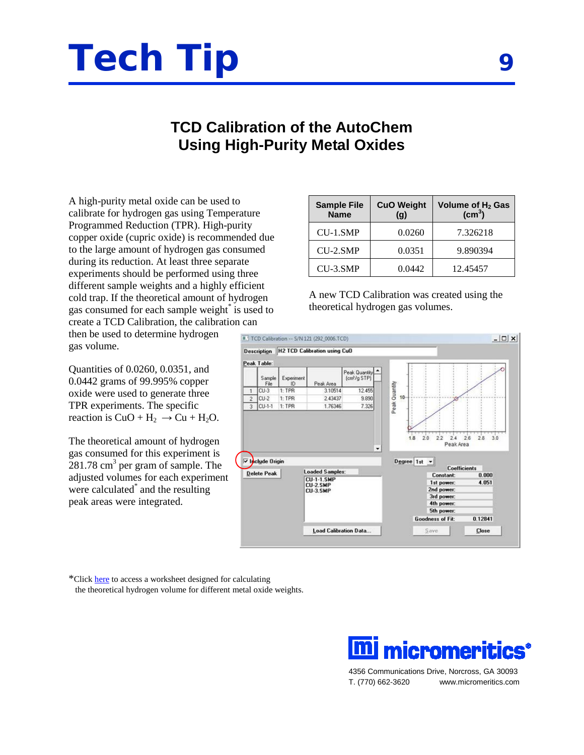## **Tech Tip <sup>9</sup>**

## **TCD Calibration of the AutoChem Using High-Purity Metal Oxides**

A high-purity metal oxide can be used to calibrate for hydrogen gas using Temperature Programmed Reduction (TPR). High-purity copper oxide (cupric oxide) is recommended due to the large amount of hydrogen gas consumed during its reduction. At least three separate experiments should be performed using three different sample weights and a highly efficient cold trap. If the theoretical amount of hydrogen gas consumed for each sample weight<sup>\*</sup> is used to create a TCD Calibration, the calibration can

then be used to determine hydrogen gas volume.

Quantities of 0.0260, 0.0351, and 0.0442 grams of 99.995% copper oxide were used to generate three TPR experiments. The specific reaction is  $CuO + H_2 \rightarrow Cu + H_2O$ .

The theoretical amount of hydrogen gas consumed for this experiment is 281.78 cm<sup>3</sup> per gram of sample. The adjusted volumes for each experiment were calculated<sup>\*</sup> and the resulting peak areas were integrated.

\*Clic[k here](http://www.micromeritics.com/repository/files/theoretical_hydrogen_volume.xls) to access a worksheet designed for calculating the theoretical hydrogen volume for different metal oxide weights.

| <b>Sample File</b><br><b>Name</b> | <b>CuO Weight</b><br>(g) | Volume of H <sub>2</sub> Gas<br>$\text{(cm}^3)$ |
|-----------------------------------|--------------------------|-------------------------------------------------|
| CU-1.SMP                          | 0.0260                   | 7.326218                                        |
| $CU-2.SMP$                        | 0.0351                   | 9.890394                                        |
| CU-3.SMP                          | 0.0442                   | 12.45457                                        |

A new TCD Calibration was created using the theoretical hydrogen gas volumes.





4356 Communications Drive, Norcross, GA 30093 T. (770) 662-3620 www.micromeritics.com